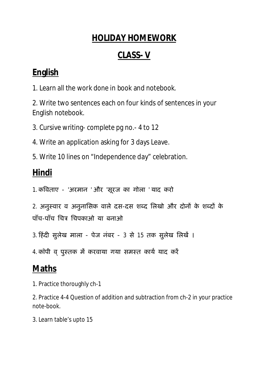### **HOLIDAY HOMEWORK**

### **CLASS- V**

## **English**

1. Learn all the work done in book and notebook.

2. Write two sentences each on four kinds of sentences in your English notebook.

3. Cursive writing- complete pg no.- 4 to 12

4. Write an application asking for 3 days Leave.

5. Write 10 lines on "Independence day" celebration.

# **Hindi**

1. कविताए - 'अरमान ' और 'सूरज का गोला ' याद करो

2. अनुस्वार व अनुनासिक वाले दस-दस शब्द लिखो और दोनों के शब्दों के पाँच-पाँच िचğ िचपकाओ या बनाओ

3. हिंदी सुलेख माला - पेज नंबर - 3 से 15 तक सुलेख लिखें ।

4. कॉपी व् पुस्तक में करवाया गया समस्त कार्य याद करें

# **Maths**

1. Practice thoroughly ch-1

2. Practice 4-4 Question of addition and subtraction from ch-2 in your practice note-book.

3. Learn table's upto 15